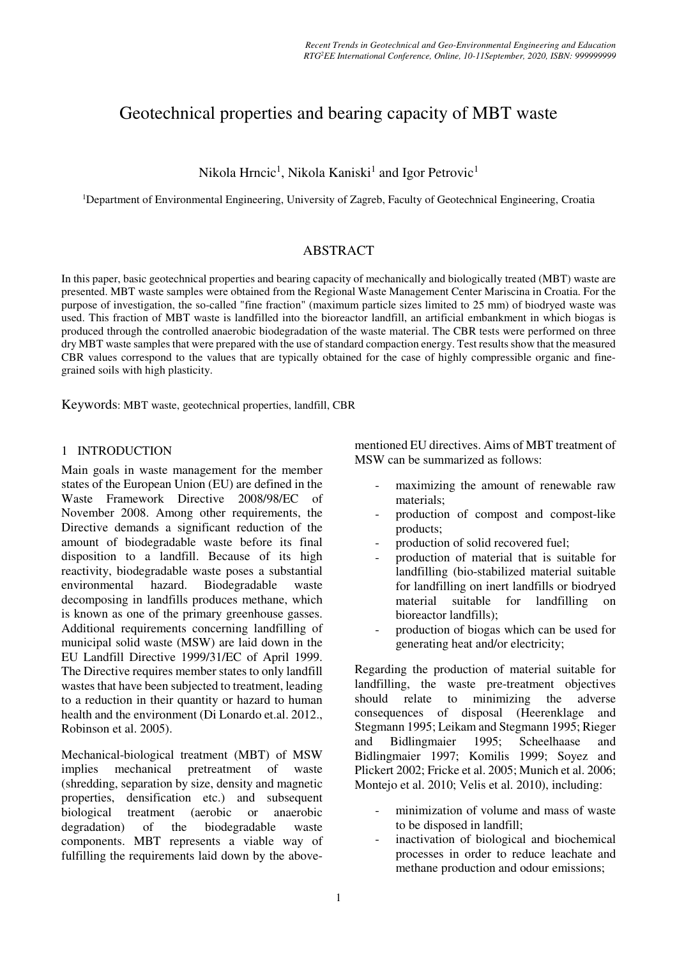# Geotechnical properties and bearing capacity of MBT waste

Nikola Hrncic<sup>1</sup>, Nikola Kaniski<sup>1</sup> and Igor Petrovic<sup>1</sup>

<sup>1</sup>Department of Environmental Engineering, University of Zagreb, Faculty of Geotechnical Engineering, Croatia

# ABSTRACT

In this paper, basic geotechnical properties and bearing capacity of mechanically and biologically treated (MBT) waste are presented. MBT waste samples were obtained from the Regional Waste Management Center Mariscina in Croatia. For the purpose of investigation, the so-called "fine fraction" (maximum particle sizes limited to 25 mm) of biodryed waste was used. This fraction of MBT waste is landfilled into the bioreactor landfill, an artificial embankment in which biogas is produced through the controlled anaerobic biodegradation of the waste material. The CBR tests were performed on three dry MBT waste samples that were prepared with the use of standard compaction energy. Test results show that the measured CBR values correspond to the values that are typically obtained for the case of highly compressible organic and finegrained soils with high plasticity.

Keywords: MBT waste, geotechnical properties, landfill, CBR

### 1 INTRODUCTION

Main goals in waste management for the member states of the European Union (EU) are defined in the Waste Framework Directive 2008/98/EC of November 2008. Among other requirements, the Directive demands a significant reduction of the amount of biodegradable waste before its final disposition to a landfill. Because of its high reactivity, biodegradable waste poses a substantial environmental hazard. Biodegradable waste decomposing in landfills produces methane, which is known as one of the primary greenhouse gasses. Additional requirements concerning landfilling of municipal solid waste (MSW) are laid down in the EU Landfill Directive 1999/31/EC of April 1999. The Directive requires member states to only landfill wastes that have been subjected to treatment, leading to a reduction in their quantity or hazard to human health and the environment (Di Lonardo et.al. 2012., Robinson et al. 2005).

Mechanical-biological treatment (MBT) of MSW implies mechanical pretreatment of waste (shredding, separation by size, density and magnetic properties, densification etc.) and subsequent biological treatment (aerobic or anaerobic degradation) of the biodegradable waste components. MBT represents a viable way of fulfilling the requirements laid down by the abovementioned EU directives. Aims of MBT treatment of MSW can be summarized as follows:

- maximizing the amount of renewable raw materials;
- production of compost and compost-like products;
- production of solid recovered fuel:
- production of material that is suitable for landfilling (bio-stabilized material suitable for landfilling on inert landfills or biodryed material suitable for landfilling on bioreactor landfills);
- production of biogas which can be used for generating heat and/or electricity;

Regarding the production of material suitable for landfilling, the waste pre-treatment objectives should relate to minimizing the adverse consequences of disposal (Heerenklage and Stegmann 1995; Leikam and Stegmann 1995; Rieger and Bidlingmaier 1995; Scheelhaase and Bidlingmaier 1997; Komilis 1999; Soyez and Plickert 2002; Fricke et al. 2005; Munich et al. 2006; Montejo et al. 2010; Velis et al. 2010), including:

- minimization of volume and mass of waste to be disposed in landfill;
- inactivation of biological and biochemical processes in order to reduce leachate and methane production and odour emissions;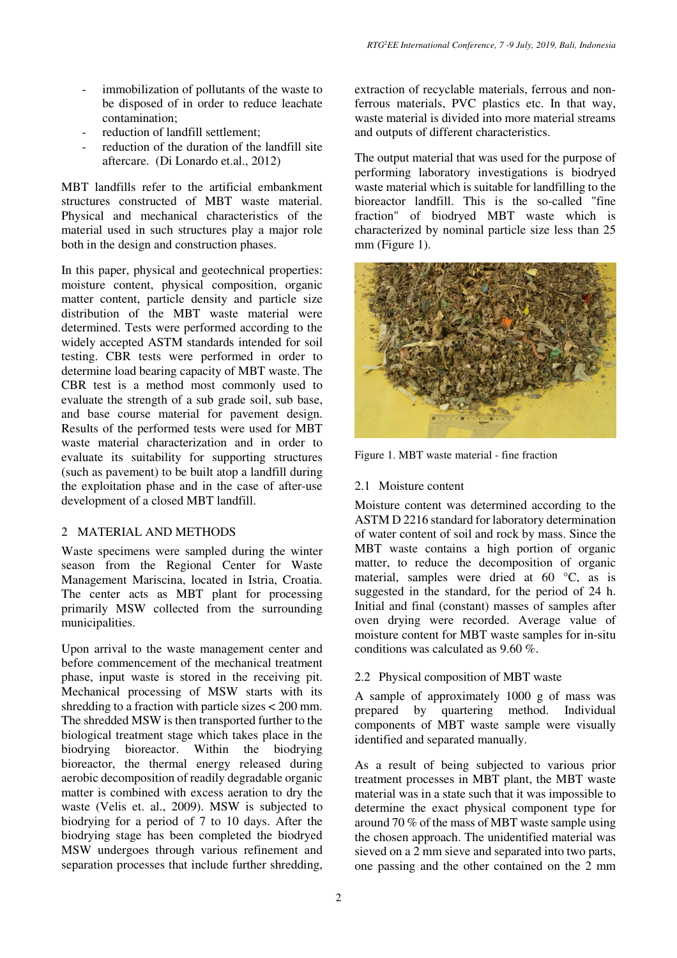- immobilization of pollutants of the waste to be disposed of in order to reduce leachate contamination;
- reduction of landfill settlement:
- reduction of the duration of the landfill site aftercare. (Di Lonardo et.al., 2012)

MBT landfills refer to the artificial embankment structures constructed of MBT waste material. Physical and mechanical characteristics of the material used in such structures play a major role both in the design and construction phases.

In this paper, physical and geotechnical properties: moisture content, physical composition, organic matter content, particle density and particle size distribution of the MBT waste material were determined. Tests were performed according to the widely accepted ASTM standards intended for soil testing. CBR tests were performed in order to determine load bearing capacity of MBT waste. The CBR test is a method most commonly used to evaluate the strength of a sub grade soil, sub base, and base course material for pavement design. Results of the performed tests were used for MBT waste material characterization and in order to evaluate its suitability for supporting structures (such as pavement) to be built atop a landfill during the exploitation phase and in the case of after-use development of a closed MBT landfill.

## 2 MATERIAL AND METHODS

Waste specimens were sampled during the winter season from the Regional Center for Waste Management Mariscina, located in Istria, Croatia. The center acts as MBT plant for processing primarily MSW collected from the surrounding municipalities.

Upon arrival to the waste management center and before commencement of the mechanical treatment phase, input waste is stored in the receiving pit. Mechanical processing of MSW starts with its shredding to a fraction with particle sizes < 200 mm. The shredded MSW is then transported further to the biological treatment stage which takes place in the biodrying bioreactor. Within the biodrying bioreactor, the thermal energy released during aerobic decomposition of readily degradable organic matter is combined with excess aeration to dry the waste (Velis et. al., 2009). MSW is subjected to biodrying for a period of 7 to 10 days. After the biodrying stage has been completed the biodryed MSW undergoes through various refinement and separation processes that include further shredding, extraction of recyclable materials, ferrous and nonferrous materials, PVC plastics etc. In that way, waste material is divided into more material streams and outputs of different characteristics.

The output material that was used for the purpose of performing laboratory investigations is biodryed waste material which is suitable for landfilling to the bioreactor landfill. This is the so-called "fine fraction" of biodryed MBT waste which is characterized by nominal particle size less than 25 mm (Figure 1).



Figure 1. MBT waste material - fine fraction

#### 2.1 Moisture content

Moisture content was determined according to the ASTM D 2216 standard for laboratory determination of water content of soil and rock by mass. Since the MBT waste contains a high portion of organic matter, to reduce the decomposition of organic material, samples were dried at 60 °C, as is suggested in the standard, for the period of 24 h. Initial and final (constant) masses of samples after oven drying were recorded. Average value of moisture content for MBT waste samples for in-situ conditions was calculated as 9.60 %.

### 2.2 Physical composition of MBT waste

A sample of approximately 1000 g of mass was prepared by quartering method. Individual components of MBT waste sample were visually identified and separated manually.

As a result of being subjected to various prior treatment processes in MBT plant, the MBT waste material was in a state such that it was impossible to determine the exact physical component type for around 70 % of the mass of MBT waste sample using the chosen approach. The unidentified material was sieved on a 2 mm sieve and separated into two parts, one passing and the other contained on the 2 mm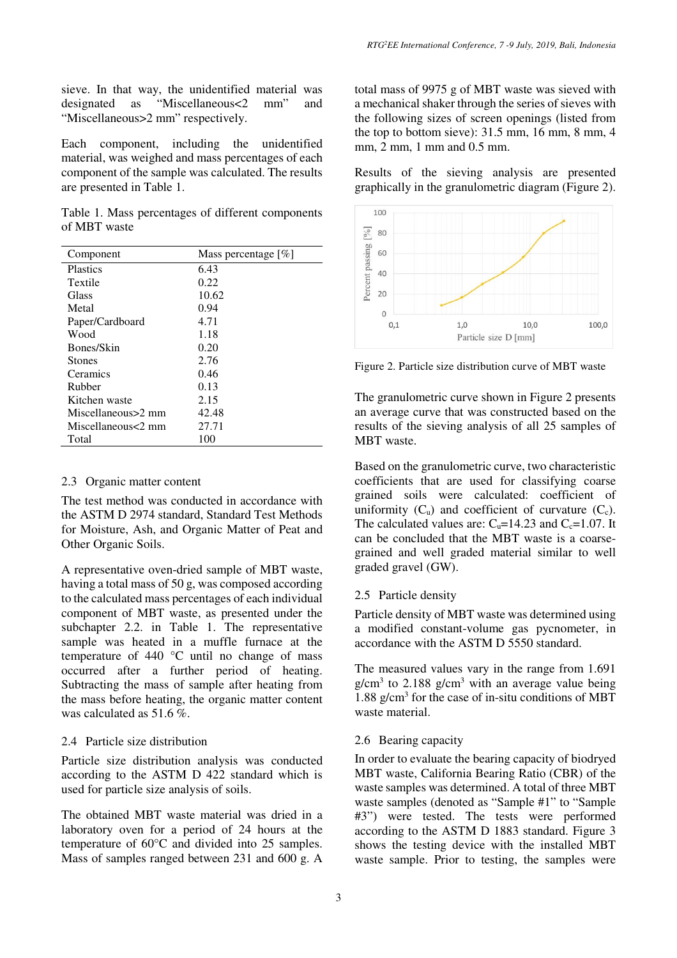sieve. In that way, the unidentified material was designated as "Miscellaneous<2 mm" and "Miscellaneous>2 mm" respectively.

Each component, including the unidentified material, was weighed and mass percentages of each component of the sample was calculated. The results are presented in Table 1.

Table 1. Mass percentages of different components of MBT waste

| Component          | Mass percentage $[\%]$ |
|--------------------|------------------------|
| <b>Plastics</b>    | 6.43                   |
| Textile            | 0.22                   |
| Glass              | 10.62                  |
| Metal              | 0.94                   |
| Paper/Cardboard    | 4.71                   |
| Wood               | 1.18                   |
| Bones/Skin         | 0.20                   |
| <b>Stones</b>      | 2.76                   |
| Ceramics           | 0.46                   |
| Rubber             | 0.13                   |
| Kitchen waste      | 2.15                   |
| Miscellaneous>2 mm | 42.48                  |
| Miscellaneous<2 mm | 27.71                  |
| Total              | 100                    |

## 2.3 Organic matter content

The test method was conducted in accordance with the ASTM D 2974 standard, Standard Test Methods for Moisture, Ash, and Organic Matter of Peat and Other Organic Soils.

A representative oven-dried sample of MBT waste, having a total mass of 50 g, was composed according to the calculated mass percentages of each individual component of MBT waste, as presented under the subchapter 2.2. in Table 1. The representative sample was heated in a muffle furnace at the temperature of 440 °C until no change of mass occurred after a further period of heating. Subtracting the mass of sample after heating from the mass before heating, the organic matter content was calculated as 51.6 %.

# 2.4 Particle size distribution

Particle size distribution analysis was conducted according to the ASTM D 422 standard which is used for particle size analysis of soils.

The obtained MBT waste material was dried in a laboratory oven for a period of 24 hours at the temperature of 60°C and divided into 25 samples. Mass of samples ranged between 231 and 600 g. A

total mass of 9975 g of MBT waste was sieved with a mechanical shaker through the series of sieves with the following sizes of screen openings (listed from the top to bottom sieve): 31.5 mm, 16 mm, 8 mm, 4 mm, 2 mm, 1 mm and 0.5 mm.

Results of the sieving analysis are presented graphically in the granulometric diagram (Figure 2).



Figure 2. Particle size distribution curve of MBT waste

The granulometric curve shown in Figure 2 presents an average curve that was constructed based on the results of the sieving analysis of all 25 samples of MBT waste.

Based on the granulometric curve, two characteristic coefficients that are used for classifying coarse grained soils were calculated: coefficient of uniformity  $(C_u)$  and coefficient of curvature  $(C_c)$ . The calculated values are:  $C<sub>u</sub>=14.23$  and  $C<sub>c</sub>=1.07$ . It can be concluded that the MBT waste is a coarsegrained and well graded material similar to well graded gravel (GW).

# 2.5 Particle density

Particle density of MBT waste was determined using a modified constant-volume gas pycnometer, in accordance with the ASTM D 5550 standard.

The measured values vary in the range from 1.691  $g/cm<sup>3</sup>$  to 2.188  $g/cm<sup>3</sup>$  with an average value being 1.88 g/cm<sup>3</sup> for the case of in-situ conditions of MBT waste material.

# 2.6 Bearing capacity

In order to evaluate the bearing capacity of biodryed MBT waste, California Bearing Ratio (CBR) of the waste samples was determined. A total of three MBT waste samples (denoted as "Sample #1" to "Sample #3") were tested. The tests were performed according to the ASTM D 1883 standard. Figure 3 shows the testing device with the installed MBT waste sample. Prior to testing, the samples were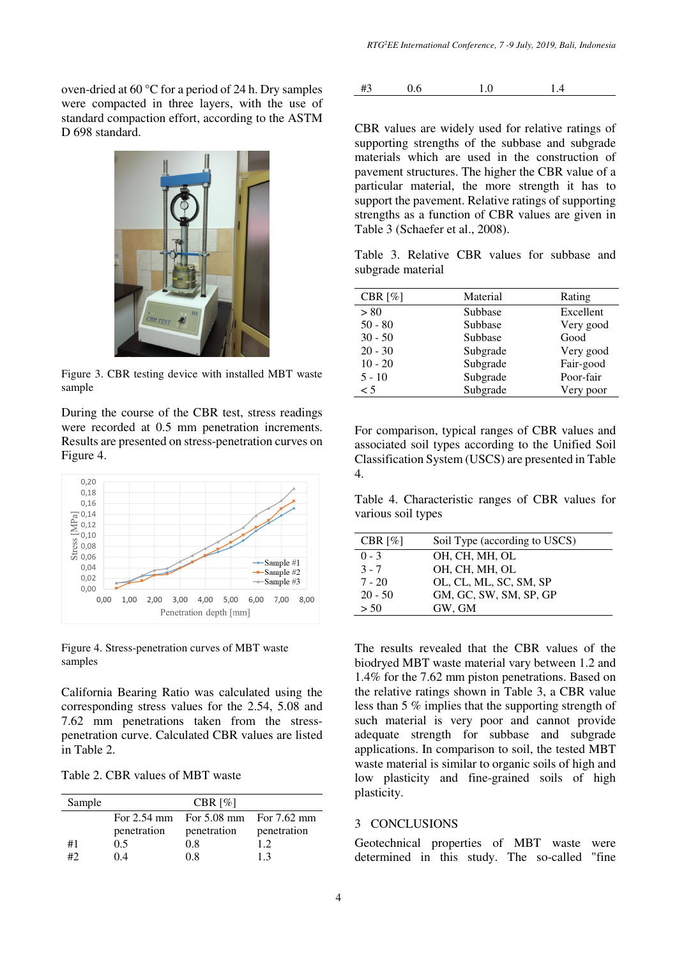oven-dried at 60 °C for a period of 24 h. Dry samples were compacted in three layers, with the use of standard compaction effort, according to the ASTM D 698 standard.



Figure 3. CBR testing device with installed MBT waste sample

During the course of the CBR test, stress readings were recorded at 0.5 mm penetration increments. Results are presented on stress-penetration curves on Figure 4.



Figure 4. Stress-penetration curves of MBT waste samples

California Bearing Ratio was calculated using the corresponding stress values for the 2.54, 5.08 and 7.62 mm penetrations taken from the stresspenetration curve. Calculated CBR values are listed in Table 2.

Table 2. CBR values of MBT waste

| Sample | CBR $[%]$   |                                     |             |
|--------|-------------|-------------------------------------|-------------|
|        |             | For 2.54 mm For 5.08 mm For 7.62 mm |             |
|        | penetration | penetration                         | penetration |
| #1     | 0.5         | 0.8                                 | 12          |
| #2     | 04          | 0.8                                 | 13          |

$$
\#3
$$
 0.6 1.0 1.4

CBR values are widely used for relative ratings of supporting strengths of the subbase and subgrade materials which are used in the construction of pavement structures. The higher the CBR value of a particular material, the more strength it has to support the pavement. Relative ratings of supporting strengths as a function of CBR values are given in Table 3 (Schaefer et al., 2008).

Table 3. Relative CBR values for subbase and subgrade material

| CBR $[%]$ | Material | Rating    |
|-----------|----------|-----------|
| > 80      | Subbase  | Excellent |
| $50 - 80$ | Subbase  | Very good |
| $30 - 50$ | Subbase  | Good      |
| $20 - 30$ | Subgrade | Very good |
| $10 - 20$ | Subgrade | Fair-good |
| $5 - 10$  | Subgrade | Poor-fair |
| $\leq 5$  | Subgrade | Very poor |

For comparison, typical ranges of CBR values and associated soil types according to the Unified Soil Classification System (USCS) are presented in Table 4.

Table 4. Characteristic ranges of CBR values for various soil types

| CBR $\lceil\% \rceil$ | Soil Type (according to USCS) |
|-----------------------|-------------------------------|
| $0 - 3$               | OH, CH, MH, OL                |
| $3 - 7$               | OH, CH, MH, OL                |
| $7 - 20$              | OL, CL, ML, SC, SM, SP        |
| $20 - 50$             | GM, GC, SW, SM, SP, GP        |
| > 50                  | GW. GM                        |

The results revealed that the CBR values of the biodryed MBT waste material vary between 1.2 and 1.4% for the 7.62 mm piston penetrations. Based on the relative ratings shown in Table 3, a CBR value less than 5 % implies that the supporting strength of such material is very poor and cannot provide adequate strength for subbase and subgrade applications. In comparison to soil, the tested MBT waste material is similar to organic soils of high and low plasticity and fine-grained soils of high plasticity.

#### 3 CONCLUSIONS

Geotechnical properties of MBT waste were determined in this study. The so-called "fine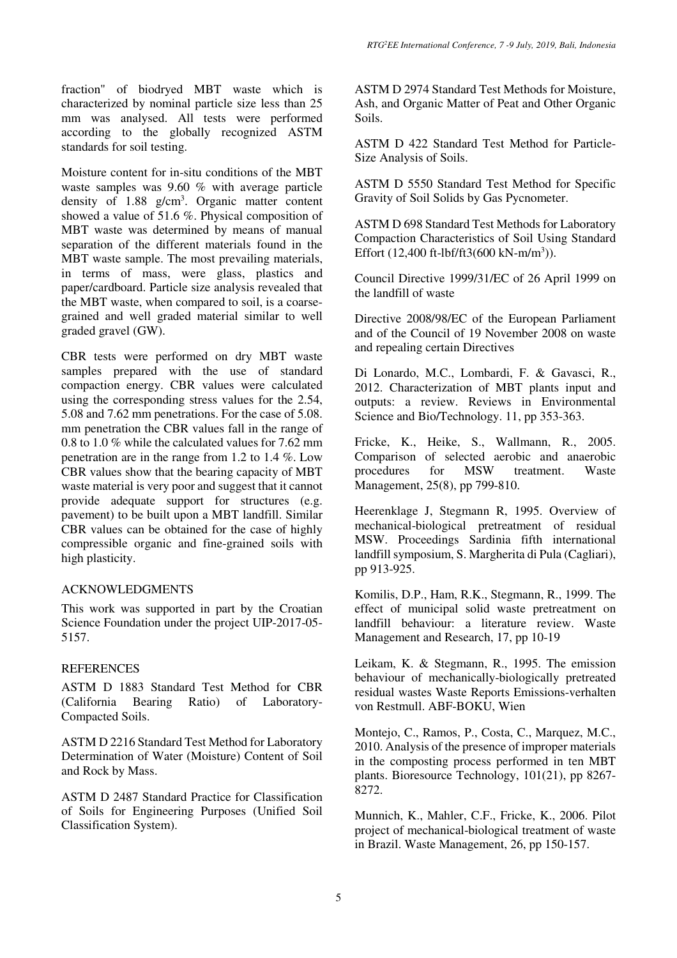fraction" of biodryed MBT waste which is characterized by nominal particle size less than 25 mm was analysed. All tests were performed according to the globally recognized ASTM standards for soil testing.

Moisture content for in-situ conditions of the MBT waste samples was 9.60 % with average particle density of 1.88 g/cm<sup>3</sup>. Organic matter content showed a value of 51.6 %. Physical composition of MBT waste was determined by means of manual separation of the different materials found in the MBT waste sample. The most prevailing materials, in terms of mass, were glass, plastics and paper/cardboard. Particle size analysis revealed that the MBT waste, when compared to soil, is a coarsegrained and well graded material similar to well graded gravel (GW).

CBR tests were performed on dry MBT waste samples prepared with the use of standard compaction energy. CBR values were calculated using the corresponding stress values for the 2.54, 5.08 and 7.62 mm penetrations. For the case of 5.08. mm penetration the CBR values fall in the range of 0.8 to 1.0 % while the calculated values for 7.62 mm penetration are in the range from 1.2 to 1.4 %. Low CBR values show that the bearing capacity of MBT waste material is very poor and suggest that it cannot provide adequate support for structures (e.g. pavement) to be built upon a MBT landfill. Similar CBR values can be obtained for the case of highly compressible organic and fine-grained soils with high plasticity.

### ACKNOWLEDGMENTS

This work was supported in part by the Croatian Science Foundation under the project UIP-2017-05- 5157.

#### **REFERENCES**

ASTM D 1883 Standard Test Method for CBR (California Bearing Ratio) of Laboratory-Compacted Soils.

ASTM D 2216 Standard Test Method for Laboratory Determination of Water (Moisture) Content of Soil and Rock by Mass.

ASTM D 2487 Standard Practice for Classification of Soils for Engineering Purposes (Unified Soil Classification System).

ASTM D 2974 Standard Test Methods for Moisture, Ash, and Organic Matter of Peat and Other Organic Soils.

ASTM D 422 Standard Test Method for Particle-Size Analysis of Soils.

ASTM D 5550 Standard Test Method for Specific Gravity of Soil Solids by Gas Pycnometer.

ASTM D 698 Standard Test Methods for Laboratory Compaction Characteristics of Soil Using Standard Effort  $(12,400 \text{ ft-lbf/ft}3(600 \text{ kN-m/m}^3))$ .

Council Directive 1999/31/EC of 26 April 1999 on the landfill of waste

Directive 2008/98/EC of the European Parliament and of the Council of 19 November 2008 on waste and repealing certain Directives

Di Lonardo, M.C., Lombardi, F. & Gavasci, R., 2012. Characterization of MBT plants input and outputs: a review. Reviews in Environmental Science and Bio/Technology. 11, pp 353-363.

Fricke, K., Heike, S., Wallmann, R., 2005. Comparison of selected aerobic and anaerobic procedures for MSW treatment. Waste Management, 25(8), pp 799-810.

Heerenklage J, Stegmann R, 1995. Overview of mechanical-biological pretreatment of residual MSW. Proceedings Sardinia fifth international landfill symposium, S. Margherita di Pula (Cagliari), pp 913-925.

Komilis, D.P., Ham, R.K., Stegmann, R., 1999. The effect of municipal solid waste pretreatment on landfill behaviour: a literature review. Waste Management and Research, 17, pp 10-19

Leikam, K. & Stegmann, R., 1995. The emission behaviour of mechanically-biologically pretreated residual wastes Waste Reports Emissions-verhalten von Restmull. ABF-BOKU, Wien

Montejo, C., Ramos, P., Costa, C., Marquez, M.C., 2010. Analysis of the presence of improper materials in the composting process performed in ten MBT plants. Bioresource Technology, 101(21), pp 8267- 8272.

Munnich, K., Mahler, C.F., Fricke, K., 2006. Pilot project of mechanical-biological treatment of waste in Brazil. Waste Management, 26, pp 150-157.